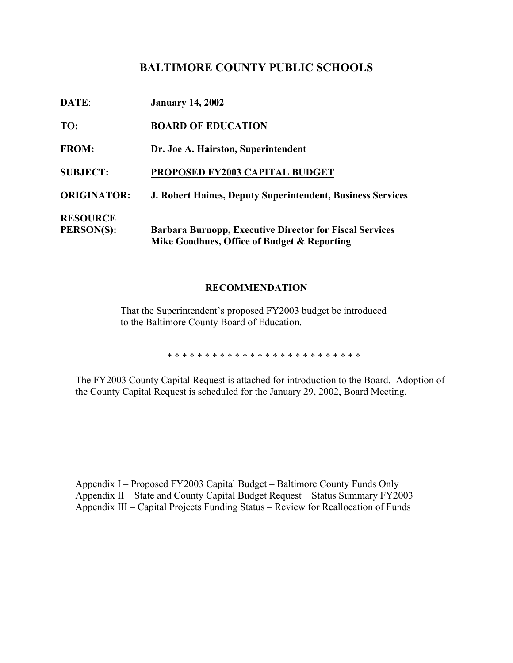## **BALTIMORE COUNTY PUBLIC SCHOOLS**

| DATE:              | <b>January 14, 2002</b>                                                                                       |
|--------------------|---------------------------------------------------------------------------------------------------------------|
| TO:                | <b>BOARD OF EDUCATION</b>                                                                                     |
| <b>FROM:</b>       | Dr. Joe A. Hairston, Superintendent                                                                           |
| <b>SUBJECT:</b>    | PROPOSED FY2003 CAPITAL BUDGET                                                                                |
| <b>ORIGINATOR:</b> | <b>J. Robert Haines, Deputy Superintendent, Business Services</b>                                             |
| <b>RESOURCE</b>    |                                                                                                               |
| <b>PERSON(S):</b>  | <b>Barbara Burnopp, Executive Director for Fiscal Services</b><br>Mike Goodhues, Office of Budget & Reporting |

### **RECOMMENDATION**

That the Superintendent's proposed FY2003 budget be introduced to the Baltimore County Board of Education.

\* \* \* \* \* \* \* \* \* \* \* \* \* \* \* \* \* \* \* \* \* \* \* \* \* \*

The FY2003 County Capital Request is attached for introduction to the Board. Adoption of the County Capital Request is scheduled for the January 29, 2002, Board Meeting.

Appendix I – Proposed FY2003 Capital Budget – Baltimore County Funds Only Appendix II – State and County Capital Budget Request – Status Summary FY2003 Appendix III – Capital Projects Funding Status – Review for Reallocation of Funds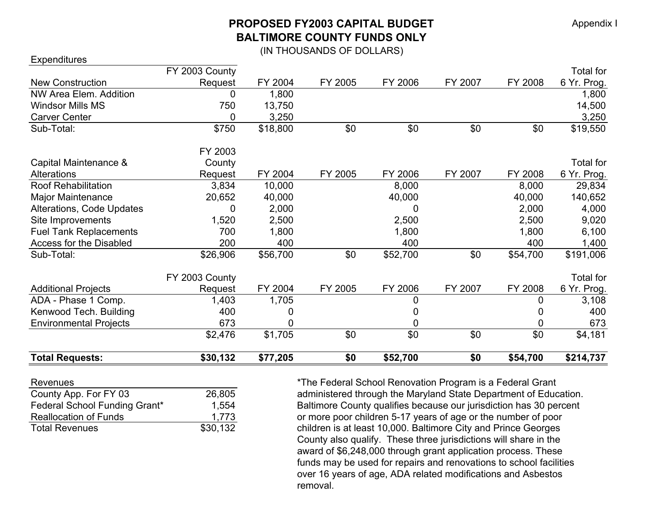# **PROPOSED FY2003 CAPITAL BUDGETBALTIMORE COUNTY FUNDS ONLY**

(IN THOUSANDS OF DOLLARS)

| <b>Total Requests:</b>        | \$30,132       | \$77,205 | \$0     | \$52,700 | \$0     | \$54,700 | \$214,737        |
|-------------------------------|----------------|----------|---------|----------|---------|----------|------------------|
|                               |                |          |         |          |         |          |                  |
|                               | \$2,476        | \$1,705  | \$0     | \$0      | \$0     | \$0      | \$4,181          |
| <b>Environmental Projects</b> | 673            |          |         | 0        |         | 0        | 673              |
| Kenwood Tech. Building        | 400            |          |         |          |         | 0        | 400              |
| ADA - Phase 1 Comp.           | 1,403          | 1,705    |         | 0        |         | 0        | 3,108            |
| <b>Additional Projects</b>    | Request        | FY 2004  | FY 2005 | FY 2006  | FY 2007 | FY 2008  | 6 Yr. Prog.      |
|                               | FY 2003 County |          |         |          |         |          | Total for        |
| Sub-Total:                    | \$26,906       | \$56,700 | \$0     | \$52,700 | \$0     | \$54,700 | \$191,006        |
| Access for the Disabled       | 200            | 400      |         | 400      |         | 400      | 1,400            |
| <b>Fuel Tank Replacements</b> | 700            | 1,800    |         | 1,800    |         | 1,800    | 6,100            |
| Site Improvements             | 1,520          | 2,500    |         | 2,500    |         | 2,500    | 9,020            |
| Alterations, Code Updates     | 0              | 2,000    |         | 0        |         | 2,000    | 4,000            |
| Major Maintenance             | 20,652         | 40,000   |         | 40,000   |         | 40,000   | 140,652          |
| <b>Roof Rehabilitation</b>    | 3,834          | 10,000   |         | 8,000    |         | 8,000    | 29,834           |
| <b>Alterations</b>            | Request        | FY 2004  | FY 2005 | FY 2006  | FY 2007 | FY 2008  | 6 Yr. Prog.      |
| Capital Maintenance &         | County         |          |         |          |         |          | Total for        |
|                               | FY 2003        |          |         |          |         |          |                  |
| Sub-Total:                    | \$750          | \$18,800 | \$0     | \$0      | \$0     | \$0      | \$19,550         |
| <b>Carver Center</b>          | 0              | 3,250    |         |          |         |          | 3,250            |
| <b>Windsor Mills MS</b>       | 750            | 13,750   |         |          |         |          | 14,500           |
| NW Area Elem. Addition        | 0              | 1,800    |         |          |         |          | 1,800            |
| <b>New Construction</b>       | Request        | FY 2004  | FY 2005 | FY 2006  | FY 2007 | FY 2008  | 6 Yr. Prog.      |
|                               | FY 2003 County |          |         |          |         |          | <b>Total for</b> |

**Expenditures** 

| 26,805   |
|----------|
| 1,554    |
| 1,773    |
| \$30,132 |
|          |

Revenues **EXECUTE:** \*The Federal School Renovation Program is a Federal Grant administered through the Maryland State Department of Education. Baltimore County qualifies because our jurisdiction has 30 percent or more poor children 5-17 years of age or the number of poor children is at least 10,000. Baltimore City and Prince Georges County also qualify. These three jurisdictions will share in the award of \$6,248,000 through grant application process. These funds may be used for repairs and renovations to school facilities over 16 years of age, ADA related modifications and Asbestos removal.

Appendix I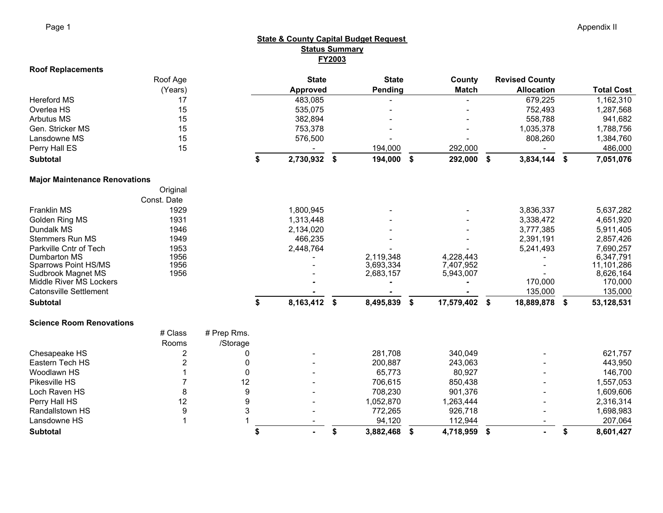#### **Roof Replacements** Roof Age **State State County Revised County** (Years) **Approved Pending Match Allocation Total Cost** Hereford MS 17 483,085 679,225 1,162,310 Overlea HS 15 535,075 752,493 1,287,568 Arbutus MS 15 382,894 558,788 941,682 Gen. Stricker MS 15 753,378 1,035,378 1,788,756 Lansdowne MS 15 576,500 808,260 1,384,760 Perry Hall ES 15 194,000 292,000 486,000 **Subtotal 2,730,932 \$ 194,000 \$ 292,000 \$ 3,834,144 \$ 7,051,076 \$ Major Maintenance Renovations Original** Const. DateFranklin MS 1929 1,800,945 - - 3,836,337 5,637,282 Golden Ring MS 1931 1,313,448 3,338,472 4,651,920 Dundalk MS 1946 2,134,020 - - 3,777,385 5,911,405 Stemmers Run MS 1949 466,235 2,391,191 2,857,426 Parkville Cntr of Tech 1953 1953 2,448,764 - 2,448,764 5,241,493 7,690,257<br>Dumbarton MS 1956 1956 1956 - 2.119.348 4.228,443 - 5,241,493 6,347.791 Dumbarton MS 1956 - 2,119,348 4,228,443 - 6,347,791 Sparrows Point HS/MS 1956 3,693,334 7,407,952 11,101,286<br>Sudbrook Magnet MS 1956 2,683,157 5,943,007 8,626,164 Sudbrook Magnet MS 1956 - 2,683,157 5,943,007 - 8,626,164 Middle River MS Lockers *- - -* 170,000 170,000 Catonsville Settlement *- - -* 135,000 135,000 **Subtotal 8,163,412 \$ 8,495,839 \$ 17,579,402 \$ 18,889,878 \$ 53,128,531 \$ Science Room Renovations**# Class # Prep Rms. Rooms /Storage Chesapeake HS 2 0 - 281,708 340,049 - 621,757 Eastern Tech HS 2 0 - 200,887 243,063 443,950 Woodlawn HS 1 0 - 65,773 80,927 - 146,700 Pikesville HS 7 12 - 706,615 850,438 - 1,557,053 Loch Raven HS 8 9 - 708,230 901,376 1,609,606 Perry Hall HS 12 9 - 1,052,870 1,263,444 2,316,314 Randallstown HS 9 3 772,265 926,718 1,698,983 Lansdowne HS 1 1 - 94,120 112,944 207,064 **Subtotal - \$ 3,882,468 \$ 4,718,959 \$ - \$ 8,601,427 \$ State & County Capital Budget Request Status Summary FY2003**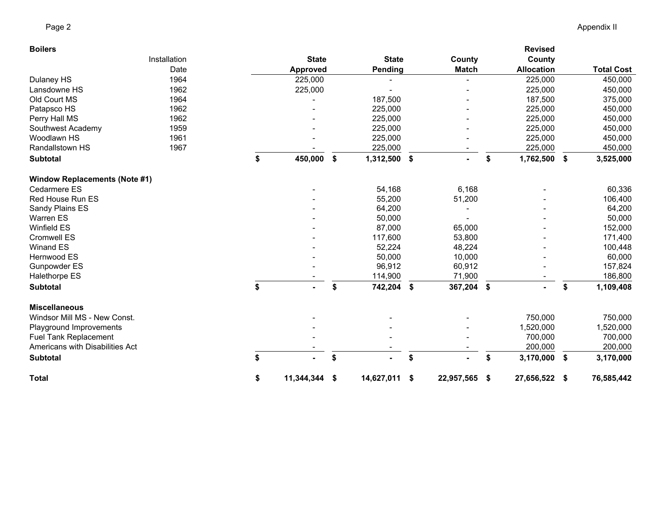| <b>Boilers</b>                       |              |                  |     |              |               |              | <b>Revised</b>      |                   |
|--------------------------------------|--------------|------------------|-----|--------------|---------------|--------------|---------------------|-------------------|
|                                      | Installation | <b>State</b>     |     | <b>State</b> |               | County       | County              |                   |
|                                      | Date         | Approved         |     | Pending      |               | <b>Match</b> | <b>Allocation</b>   | <b>Total Cost</b> |
| Dulaney HS                           | 1964         | 225,000          |     |              |               |              | 225,000             | 450,000           |
| Lansdowne HS                         | 1962         | 225,000          |     |              |               |              | 225,000             | 450,000           |
| Old Court MS                         | 1964         |                  |     | 187,500      |               |              | 187,500             | 375,000           |
| Patapsco HS                          | 1962         |                  |     | 225,000      |               |              | 225,000             | 450,000           |
| Perry Hall MS                        | 1962         |                  |     | 225,000      |               |              | 225,000             | 450,000           |
| Southwest Academy                    | 1959         |                  |     | 225,000      |               |              | 225,000             | 450,000           |
| Woodlawn HS                          | 1961         |                  |     | 225,000      |               |              | 225,000             | 450,000           |
| Randallstown HS                      | 1967         |                  |     | 225,000      |               |              | 225,000             | 450,000           |
| <b>Subtotal</b>                      |              | \$<br>450,000    | -\$ | 1,312,500    | \$            |              | \$<br>1,762,500     | \$<br>3,525,000   |
| <b>Window Replacements (Note #1)</b> |              |                  |     |              |               |              |                     |                   |
| Cedarmere ES                         |              |                  |     | 54,168       |               | 6,168        |                     | 60,336            |
| Red House Run ES                     |              |                  |     | 55,200       |               | 51,200       |                     | 106,400           |
| Sandy Plains ES                      |              |                  |     | 64,200       |               |              |                     | 64,200            |
| <b>Warren ES</b>                     |              |                  |     | 50,000       |               |              |                     | 50,000            |
| <b>Winfield ES</b>                   |              |                  |     | 87,000       |               | 65,000       |                     | 152,000           |
| Cromwell ES                          |              |                  |     | 117,600      |               | 53,800       |                     | 171,400           |
| Winand ES                            |              |                  |     | 52,224       |               | 48,224       |                     | 100,448           |
| Hernwood ES                          |              |                  |     | 50,000       |               | 10,000       |                     | 60,000            |
| Gunpowder ES                         |              |                  |     | 96,912       |               | 60,912       |                     | 157,824           |
| Halethorpe ES                        |              |                  |     | 114,900      |               | 71,900       |                     | 186,800           |
| <b>Subtotal</b>                      |              | \$               | \$  | 742,204      | $\frac{1}{2}$ | 367,204 \$   |                     | \$<br>1,109,408   |
| <b>Miscellaneous</b>                 |              |                  |     |              |               |              |                     |                   |
| Windsor Mill MS - New Const.         |              |                  |     |              |               |              | 750,000             | 750,000           |
| Playground Improvements              |              |                  |     |              |               |              | 1,520,000           | 1,520,000         |
| <b>Fuel Tank Replacement</b>         |              |                  |     |              |               |              | 700,000             | 700,000           |
| Americans with Disabilities Act      |              |                  |     |              |               |              | 200,000             | 200,000           |
| <b>Subtotal</b>                      |              | \$               | \$  |              | \$            |              | \$<br>3,170,000     | \$<br>3,170,000   |
| <b>Total</b>                         |              | \$<br>11,344,344 | -\$ | 14,627,011   | \$            | 22,957,565   | \$<br>27,656,522 \$ | 76,585,442        |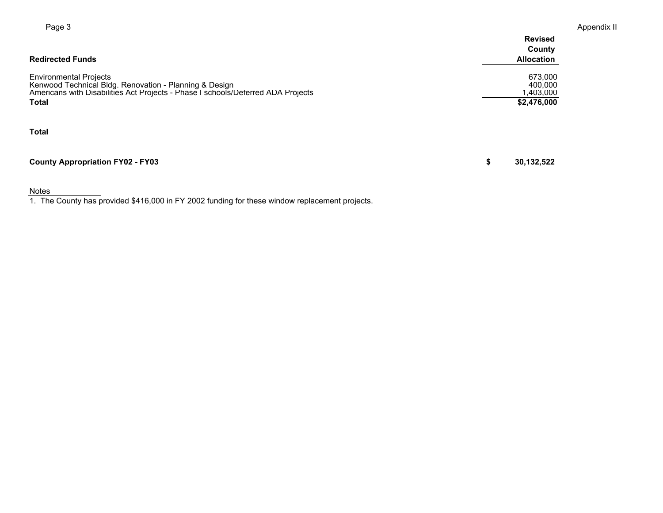| Page 3                                                                                                                                                                                      | Appendix II                                    |  |  |  |  |  |
|---------------------------------------------------------------------------------------------------------------------------------------------------------------------------------------------|------------------------------------------------|--|--|--|--|--|
| <b>Redirected Funds</b>                                                                                                                                                                     | <b>Revised</b><br>County<br><b>Allocation</b>  |  |  |  |  |  |
| <b>Environmental Projects</b><br>Kenwood Technical Bldg. Renovation - Planning & Design<br>Americans with Disabilities Act Projects - Phase I schools/Deferred ADA Projects<br><b>Total</b> | 673,000<br>400,000<br>1,403,000<br>\$2,476,000 |  |  |  |  |  |
| <b>Total</b>                                                                                                                                                                                |                                                |  |  |  |  |  |
| <b>County Appropriation FY02 - FY03</b>                                                                                                                                                     | 30,132,522<br>\$                               |  |  |  |  |  |

Notes 1. The County has provided \$416,000 in FY 2002 funding for these window replacement projects.